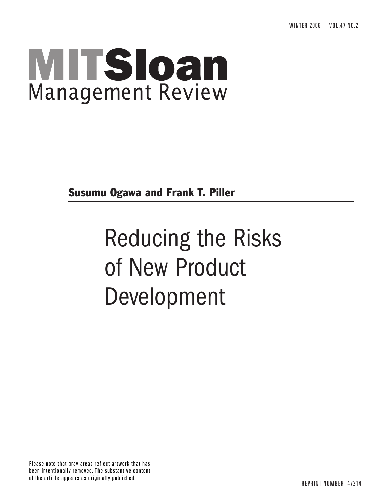WINTER 2006 VOL.47 NO.2

# **MITSloan Management Review**

Susumu Ogawa and Frank T. Piller

### Reducing the Risks of New Product Development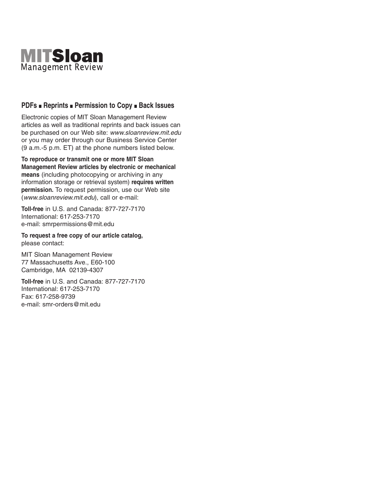

#### **PDFs** ■ **Reprints** ■ **Permission to Copy** ■ **Back Issues**

Electronic copies of MIT Sloan Management Review articles as well as traditional reprints and back issues can be purchased on our Web site: www.sloanreview.mit.edu or you may order through our Business Service Center (9 a.m.-5 p.m. ET) at the phone numbers listed below.

**To reproduce or transmit one or more MIT Sloan Management Review articles by electronic or mechanical means** (including photocopying or archiving in any information storage or retrieval system) **requires written permission.** To request permission, use our Web site (www.sloanreview.mit.edu), call or e-mail:

**Toll-free** in U.S. and Canada: 877-727-7170 International: 617-253-7170 e-mail: smrpermissions@mit.edu

**To request a free copy of our article catalog,**  please contact:

MIT Sloan Management Review 77 Massachusetts Ave., E60-100 Cambridge, MA 02139-4307

**Toll-free** in U.S. and Canada: 877-727-7170 International: 617-253-7170 Fax: 617-258-9739 e-mail: smr-orders@mit.edu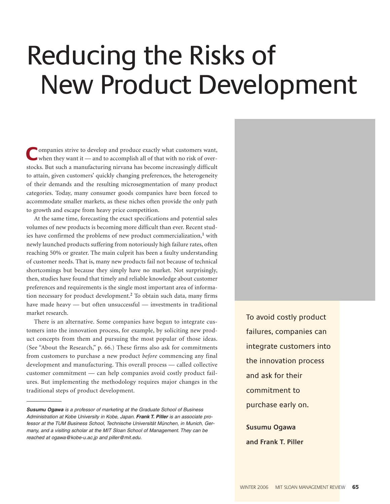## Reducing the Risks of New Product Development

ompanies strive to develop and produce exactly what customers want, when they want it — and to accomplish all of that with no risk of overstocks. But such a manufacturing nirvana has become increasingly difficult to attain, given customers' quickly changing preferences, the heterogeneity of their demands and the resulting microsegmentation of many product categories. Today, many consumer goods companies have been forced to accommodate smaller markets, as these niches often provide the only path to growth and escape from heavy price competition. **C**

At the same time, forecasting the exact specifications and potential sales volumes of new products is becoming more difficult than ever. Recent studies have confirmed the problems of new product commercialization,**<sup>1</sup>** with newly launched products suffering from notoriously high failure rates, often reaching 50% or greater. The main culprit has been a faulty understanding of customer needs. That is, many new products fail not because of technical shortcomings but because they simply have no market. Not surprisingly, then, studies have found that timely and reliable knowledge about customer preferences and requirements is the single most important area of information necessary for product development.**<sup>2</sup>** To obtain such data, many firms have made heavy — but often unsuccessful — investments in traditional market research.

There is an alternative. Some companies have begun to integrate customers into the innovation process, for example, by soliciting new product concepts from them and pursuing the most popular of those ideas. (See "About the Research," p. 66.) These firms also ask for commitments from customers to purchase a new product *before* commencing any final development and manufacturing. This overall process — called collective customer commitment — can help companies avoid costly product failures. But implementing the methodology requires major changes in the traditional steps of product development.

To avoid costly product failures, companies can integrate customers into the innovation process and ask for their commitment to purchase early on. **Susumu Ogawa and Frank T. Piller**

**Susumu Ogawa** is a professor of marketing at the Graduate School of Business Administration at Kobe University in Kobe, Japan. **Frank T. Piller** is an associate professor at the TUM Business School, Technische Universität München, in Munich, Germany, and a visiting scholar at the MIT Sloan School of Management. They can be reached at ogawa@kobe-u.ac.jp and piller@mit.edu.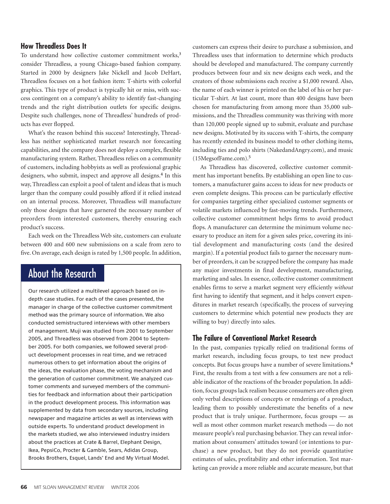#### **How Threadless Does It**

To understand how collective customer commitment works,**<sup>3</sup>** consider Threadless, a young Chicago-based fashion company. Started in 2000 by designers Jake Nickell and Jacob DeHart, Threadless focuses on a hot fashion item: T-shirts with colorful graphics. This type of product is typically hit or miss, with success contingent on a company's ability to identify fast-changing trends and the right distribution outlets for specific designs. Despite such challenges, none of Threadless' hundreds of products has ever flopped.

What's the reason behind this success? Interestingly, Threadless has neither sophisticated market research nor forecasting capabilities, and the company does not deploy a complex, flexible manufacturing system. Rather, Threadless relies on a community of customers, including hobbyists as well as professional graphic designers, who submit, inspect and approve all designs.**<sup>4</sup>** In this way, Threadless can exploit a pool of talent and ideas that is much larger than the company could possibly afford if it relied instead on an internal process. Moreover, Threadless will manufacture only those designs that have garnered the necessary number of preorders from interested customers, thereby ensuring each product's success.

Each week on the Threadless Web site, customers can evaluate between 400 and 600 new submissions on a scale from zero to five. On average, each design is rated by 1,500 people. In addition,

### About the Research

Our research utilized a multilevel approach based on indepth case studies. For each of the cases presented, the manager in charge of the collective customer commitment method was the primary source of information. We also conducted semistructured interviews with other members of management. Muji was studied from 2001 to September 2005, and Threadless was observed from 2004 to September 2005. For both companies, we followed several product development processes in real time, and we retraced numerous others to get information about the origins of the ideas, the evaluation phase, the voting mechanism and the generation of customer commitment. We analyzed customer comments and surveyed members of the communities for feedback and information about their participation in the product development process. This information was supplemented by data from secondary sources, including newspaper and magazine articles as well as interviews with outside experts. To understand product development in the markets studied, we also interviewed industry insiders about the practices at Crate & Barrel, Elephant Design, Ikea, PepsiCo, Procter & Gamble, Sears, Adidas Group, Brooks Brothers, Esquel, Lands' End and My Virtual Model.

customers can express their desire to purchase a submission, and Threadless uses that information to determine which products should be developed and manufactured. The company currently produces between four and six new designs each week, and the creators of those submissions each receive a \$1,000 reward. Also, the name of each winner is printed on the label of his or her particular T-shirt. At last count, more than 400 designs have been chosen for manufacturing from among more than 35,000 submissions, and the Threadless community was thriving with more than 120,000 people signed up to submit, evaluate and purchase new designs. Motivated by its success with T-shirts, the company has recently extended its business model to other clothing items, including ties and polo shirts (NakedandAngry.com), and music (15MegsofFame.com).**<sup>5</sup>**

As Threadless has discovered, collective customer commitment has important benefits. By establishing an open line to customers, a manufacturer gains access to ideas for new products or even complete designs. This process can be particularly effective for companies targeting either specialized customer segments or volatile markets influenced by fast-moving trends. Furthermore, collective customer commitment helps firms to avoid product flops. A manufacturer can determine the minimum volume necessary to produce an item for a given sales price, covering its initial development and manufacturing costs (and the desired margin). If a potential product fails to garner the necessary number of preorders, it can be scrapped before the company has made any major investments in final development, manufacturing, marketing and sales. In essence, collective customer commitment enables firms to serve a market segment very efficiently *without* first having to identify that segment, and it helps convert expenditures in market research (specifically, the process of surveying customers to determine which potential new products they are willing to buy) directly into sales.

#### **The Failure of Conventional Market Research**

In the past, companies typically relied on traditional forms of market research, including focus groups, to test new product concepts. But focus groups have a number of severe limitations.**<sup>6</sup>** First, the results from a test with a few consumers are not a reliable indicator of the reactions of the broader population. In addition, focus groups lack realism because consumers are often given only verbal descriptions of concepts or renderings of a product, leading them to possibly underestimate the benefits of a new product that is truly unique. Furthermore, focus groups — as well as most other common market research methods — do not measure people's real purchasing behavior. They can reveal information about consumers' attitudes toward (or intentions to purchase) a new product, but they do not provide quantitative estimates of sales, profitability and other information. Test marketing can provide a more reliable and accurate measure, but that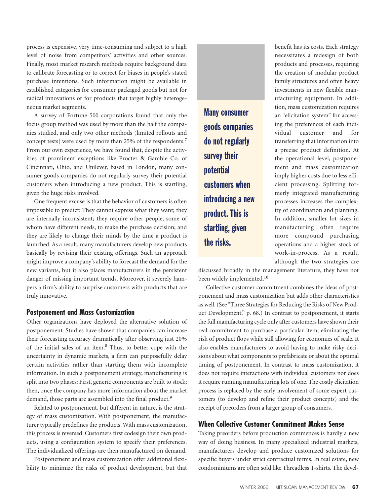process is expensive, very time-consuming and subject to a high level of noise from competitors' activities and other sources. Finally, most market research methods require background data to calibrate forecasting or to correct for biases in people's stated purchase intentions. Such information might be available in established categories for consumer packaged goods but not for radical innovations or for products that target highly heterogeneous market segments.

A survey of Fortune 500 corporations found that only the focus group method was used by more than the half the companies studied, and only two other methods (limited rollouts and concept tests) were used by more than 25% of the respondents.**<sup>7</sup>** From our own experience, we have found that, despite the activities of prominent exceptions like Procter & Gamble Co. of Cincinnati, Ohio, and Unilever, based in London, many consumer goods companies do not regularly survey their potential customers when introducing a new product. This is startling, given the huge risks involved.

One frequent excuse is that the behavior of customers is often impossible to predict: They cannot express what they want; they are internally inconsistent; they require other people, some of whom have different needs, to make the purchase decision; and they are likely to change their minds by the time a product is launched. As a result, many manufacturers develop new products basically by revising their existing offerings. Such an approach might improve a company's ability to forecast the demand for the new variants, but it also places manufacturers in the persistent danger of missing important trends. Moreover, it severely hampers a firm's ability to surprise customers with products that are truly innovative.

#### **Postponement and Mass Customization**

Other organizations have deployed the alternative solution of postponement. Studies have shown that companies can increase their forecasting accuracy dramatically after observing just 20% of the initial sales of an item.**<sup>8</sup>** Thus, to better cope with the uncertainty in dynamic markets, a firm can purposefully delay certain activities rather than starting them with incomplete information. In such a postponement strategy, manufacturing is split into two phases: First, generic components are built to stock; then, once the company has more information about the market demand, those parts are assembled into the final product.**<sup>9</sup>**

Related to postponement, but different in nature, is the strategy of mass customization. With postponement, the manufacturer typically predefines the products. With mass customization, this process is reversed. Customers first codesign their own products, using a configuration system to specify their preferences. The individualized offerings are then manufactured on demand.

Postponement and mass customization offer additional flexibility to minimize the risks of product development, but that

Many consumer goods companies do not regularly survey their potential customers when introducing a new product. This is startling, given the risks.

benefit has its costs. Each strategy necessitates a redesign of both products and processes, requiring the creation of modular product family structures and often heavy investments in new flexible manufacturing equipment. In addition, mass customization requires an "elicitation system" for accessing the preferences of each individual customer and for transferring that information into a precise product definition. At the operational level, postponement and mass customization imply higher costs due to less efficient processing. Splitting formerly integrated manufacturing processes increases the complexity of coordination and planning. In addition, smaller lot sizes in manufacturing often require more compound purchasing operations and a higher stock of work-in-process. As a result, although the two strategies are

discussed broadly in the management literature, they have not been widely implemented.**<sup>10</sup>**

Collective customer commitment combines the ideas of postponement and mass customization but adds other characteristics as well. (See "Three Strategies for Reducing the Risks of New Product Development," p. 68.) In contrast to postponement, it starts the full manufacturing cycle only after customers have shown their real commitment to purchase a particular item, eliminating the risk of product flops while still allowing for economies of scale. It also enables manufacturers to avoid having to make risky decisions about what components to prefabricate or about the optimal timing of postponement. In contrast to mass customization, it does not require interactions with individual customers nor does it require running manufacturing lots of one. The costly elicitation process is replaced by the early involvement of some expert customers (to develop and refine their product concepts) and the receipt of preorders from a larger group of consumers.

#### **When Collective Customer Commitment Makes Sense**

Taking preorders before production commences is hardly a new way of doing business. In many specialized industrial markets, manufacturers develop and produce customized solutions for specific buyers under strict contractual terms. In real estate, new condominiums are often sold like Threadless T-shirts. The devel-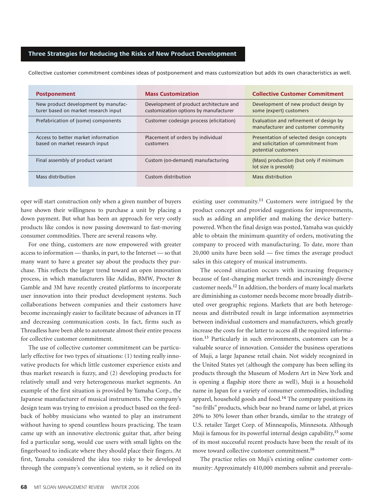#### **Three Strategies for Reducing the Risks of New Product Development**

Collective customer commitment combines ideas of postponement and mass customization but adds its own characteristics as well.

| <b>Postponement</b>                                                         | <b>Mass Customization</b>                                                        | <b>Collective Customer Commitment</b>                                                                  |
|-----------------------------------------------------------------------------|----------------------------------------------------------------------------------|--------------------------------------------------------------------------------------------------------|
| New product development by manufac-<br>turer based on market research input | Development of product architecture and<br>customization options by manufacturer | Development of new product design by<br>some (expert) customers                                        |
| Prefabrication of (some) components                                         | Customer codesign process (elicitation)                                          | Evaluation and refinement of design by<br>manufacturer and customer community                          |
| Access to better market information<br>based on market research input       | Placement of orders by individual<br>customers                                   | Presentation of selected design concepts<br>and solicitation of commitment from<br>potential customers |
| Final assembly of product variant                                           | Custom (on-demand) manufacturing                                                 | (Mass) production (but only if minimum<br>lot size is presold)                                         |
| Mass distribution                                                           | Custom distribution                                                              | Mass distribution                                                                                      |

oper will start construction only when a given number of buyers have shown their willingness to purchase a unit by placing a down payment. But what has been an approach for very costly products like condos is now passing downward to fast-moving consumer commodities. There are several reasons why.

For one thing, customers are now empowered with greater access to information — thanks, in part, to the Internet — so that many want to have a greater say about the products they purchase. This reflects the larger trend toward an open innovation process, in which manufacturers like Adidas, BMW, Procter & Gamble and 3M have recently created platforms to incorporate user innovation into their product development systems. Such collaborations between companies and their customers have become increasingly easier to facilitate because of advances in IT and decreasing communication costs. In fact, firms such as Threadless have been able to automate almost their entire process for collective customer commitment.

The use of collective customer commitment can be particularly effective for two types of situations: (1) testing really innovative products for which little customer experience exists and thus market research is fuzzy, and (2) developing products for relatively small and very heterogeneous market segments. An example of the first situation is provided by Yamaha Corp., the Japanese manufacturer of musical instruments. The company's design team was trying to envision a product based on the feedback of hobby musicians who wanted to play an instrument without having to spend countless hours practicing. The team came up with an innovative electronic guitar that, after being fed a particular song, would cue users with small lights on the fingerboard to indicate where they should place their fingers. At first, Yamaha considered the idea too risky to be developed through the company's conventional system, so it relied on its

existing user community.**<sup>11</sup>** Customers were intrigued by the product concept and provided suggestions for improvements, such as adding an amplifier and making the device batterypowered. When the final design was posted, Yamaha was quickly able to obtain the minimum quantity of orders, motivating the company to proceed with manufacturing. To date, more than 20,000 units have been sold — five times the average product sales in this category of musical instruments.

The second situation occurs with increasing frequency because of fast-changing market trends and increasingly diverse customer needs.**<sup>12</sup>** In addition, the borders of many local markets are diminishing as customer needs become more broadly distributed over geographic regions. Markets that are both heterogeneous and distributed result in large information asymmetries between individual customers and manufacturers, which greatly increase the costs for the latter to access all the required information.**<sup>13</sup>** Particularly in such environments, customers can be a valuable source of innovation. Consider the business operations of Muji, a large Japanese retail chain. Not widely recognized in the United States yet (although the company has been selling its products through the Museum of Modern Art in New York and is opening a flagship store there as well), Muji is a household name in Japan for a variety of consumer commodities, including apparel, household goods and food.**<sup>14</sup>** The company positions its "no frills" products, which bear no brand name or label, at prices 20% to 30% lower than other brands, similar to the strategy of U.S. retailer Target Corp. of Minneapolis, Minnesota. Although Muji is famous for its powerful internal design capability,**<sup>15</sup>** some of its most successful recent products have been the result of its move toward collective customer commitment.**<sup>16</sup>**

The practice relies on Muji's existing online customer community: Approximately 410,000 members submit and preevalu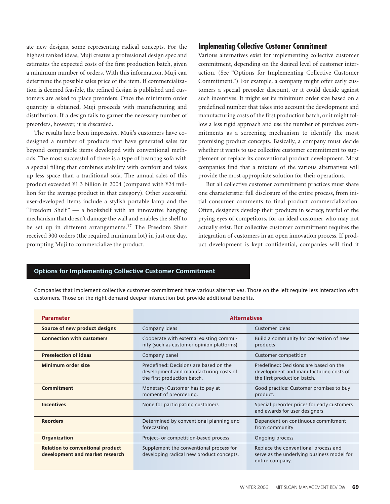ate new designs, some representing radical concepts. For the highest ranked ideas, Muji creates a professional design spec and estimates the expected costs of the first production batch, given a minimum number of orders. With this information, Muji can determine the possible sales price of the item. If commercialization is deemed feasible, the refined design is published and customers are asked to place preorders. Once the minimum order quantity is obtained, Muji proceeds with manufacturing and distribution. If a design fails to garner the necessary number of preorders, however, it is discarded.

The results have been impressive. Muji's customers have codesigned a number of products that have generated sales far beyond comparable items developed with conventional methods. The most successful of these is a type of beanbag sofa with a special filling that combines stability with comfort and takes up less space than a traditional sofa. The annual sales of this product exceeded ¥1.3 billion in 2004 (compared with ¥24 million for the average product in that category). Other successful user-developed items include a stylish portable lamp and the "Freedom Shelf" — a bookshelf with an innovative hanging mechanism that doesn't damage the wall and enables the shelf to be set up in different arrangements.**<sup>17</sup>** The Freedom Shelf received 300 orders (the required minimum lot) in just one day, prompting Muji to commercialize the product.

#### **Implementing Collective Customer Commitment**

Various alternatives exist for implementing collective customer commitment, depending on the desired level of customer interaction. (See "Options for Implementing Collective Customer Commitment.") For example, a company might offer early customers a special preorder discount, or it could decide against such incentives. It might set its minimum order size based on a predefined number that takes into account the development and manufacturing costs of the first production batch, or it might follow a less rigid approach and use the number of purchase commitments as a screening mechanism to identify the most promising product concepts. Basically, a company must decide whether it wants to use collective customer commitment to supplement or replace its conventional product development. Most companies find that a mixture of the various alternatives will provide the most appropriate solution for their operations.

But all collective customer commitment practices must share one characteristic: full disclosure of the entire process, from initial consumer comments to final product commercialization. Often, designers develop their products in secrecy, fearful of the prying eyes of competitors, for an ideal customer who may not actually exist. But collective customer commitment requires the integration of customers in an open innovation process. If product development is kept confidential, companies will find it

#### **Options for Implementing Collective Customer Commitment**

Companies that implement collective customer commitment have various alternatives. Those on the left require less interaction with customers. Those on the right demand deeper interaction but provide additional benefits.

| <b>Parameter</b>                                                           | <b>Alternatives</b>                                                                                             |                                                                                                                 |
|----------------------------------------------------------------------------|-----------------------------------------------------------------------------------------------------------------|-----------------------------------------------------------------------------------------------------------------|
| Source of new product designs                                              | Company ideas                                                                                                   | Customer ideas                                                                                                  |
| <b>Connection with customers</b>                                           | Cooperate with external existing commu-<br>nity (such as customer opinion platforms)                            | Build a community for cocreation of new<br>products                                                             |
| <b>Preselection of ideas</b>                                               | Company panel                                                                                                   | <b>Customer competition</b>                                                                                     |
| Minimum order size                                                         | Predefined: Decisions are based on the<br>development and manufacturing costs of<br>the first production batch. | Predefined: Decisions are based on the<br>development and manufacturing costs of<br>the first production batch. |
| Commitment                                                                 | Monetary: Customer has to pay at<br>moment of preordering.                                                      | Good practice: Customer promises to buy<br>product.                                                             |
| <b>Incentives</b>                                                          | None for participating customers                                                                                | Special preorder prices for early customers<br>and awards for user designers                                    |
| <b>Reorders</b>                                                            | Determined by conventional planning and<br>forecasting                                                          | Dependent on continuous commitment<br>from community                                                            |
| <b>Organization</b>                                                        | Project- or competition-based process                                                                           | Ongoing process                                                                                                 |
| <b>Relation to conventional product</b><br>development and market research | Supplement the conventional process for<br>developing radical new product concepts.                             | Replace the conventional process and<br>serve as the underlying business model for<br>entire company.           |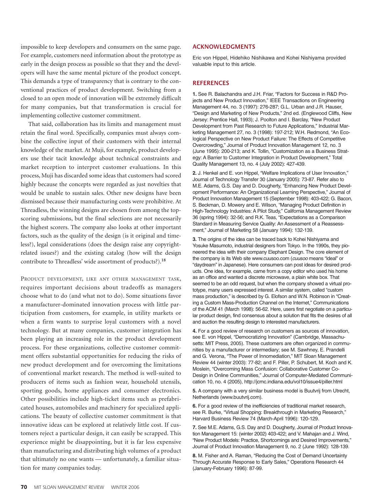impossible to keep developers and consumers on the same page. For example, customers need information about the prototype as early in the design process as possible so that they and the developers will have the same mental picture of the product concept. This demands a type of transparency that is contrary to the conventional practices of product development. Switching from a closed to an open mode of innovation will be extremely difficult for many companies, but that transformation is crucial for implementing collective customer commitment.

That said, collaboration has its limits and management must retain the final word. Specifically, companies must always combine the collective input of their customers with their internal knowledge of the market. At Muji, for example, product developers use their tacit knowledge about technical constraints and market reception to interpret customer evaluations. In this process, Muji has discarded some ideas that customers had scored highly because the concepts were regarded as just novelties that would be unable to sustain sales. Other new designs have been dismissed because their manufacturing costs were prohibitive. At Threadless, the winning designs are chosen from among the topscoring submissions, but the final selections are not necessarily the highest scorers. The company also looks at other important factors, such as the quality of the design (is it original and timeless?), legal considerations (does the design raise any copyrightrelated issues?) and the existing catalog (how will the design contribute to Threadless' wide assortment of products?).**<sup>18</sup>**

PRODUCT DEVELOPMENT, LIKE ANY OTHER MANAGEMENT TASK, requires important decisions about tradeoffs as managers choose what to do (and what not to do). Some situations favor a manufacturer-dominated innovation process with little participation from customers, for example, in utility markets or when a firm wants to surprise loyal customers with a novel technology. But at many companies, customer integration has been playing an increasing role in the product development process. For these organizations, collective customer commitment offers substantial opportunities for reducing the risks of new product development and for overcoming the limitations of conventional market research. The method is well-suited to producers of items such as fashion wear, household utensils, sporting goods, home appliances and consumer electronics. Other possibilities include high-ticket items such as prefabricated houses, automobiles and machinery for specialized applications. The beauty of collective customer commitment is that innovative ideas can be explored at relatively little cost. If customers reject a particular design, it can easily be scrapped. This experience might be disappointing, but it is far less expensive than manufacturing and distributing high volumes of a product that ultimately no one wants — unfortunately, a familiar situation for many companies today.

#### **ACKNOWLEDGMENTS**

Eric von Hippel, Hidehiko Nishikawa and Kohei Nishiyama provided valuable input to this article.

#### **REFERENCES**

**1.** See R. Balachandra and J.H. Friar, "Factors for Success in R&D Projects and New Product Innovation," IEEE Transactions on Engineering Management 44, no. 3 (1997): 276-287; G.L. Urban and J.R. Hauser, "Design and Marketing of New Products," 2nd ed. (Englewood Cliffs, New Jersey: Prentice Hall, 1993); J. Poolton and I. Barclay, "New Product Development from Past Research to Future Applications," Industrial Marketing Management 27, no. 3 (1998): 197-212; W.H. Redmond, "An Ecological Perspective on New Product Failure: The Effects of Competitive Overcrowding," Journal of Product Innovation Management 12, no. 3 (June 1995): 200-213; and K. Tollin, "Customization as a Business Strategy: A Barrier to Customer Integration in Product Development," Total Quality Management 13, no. 4 (July 2002): 427-439.

**2.** J. Henkel and E. von Hippel, "Welfare Implications of User Innovation," Journal of Technology Transfer 30 (January 2005): 73-87. Refer also to M.E. Adams, G.S. Day and D. Dougherty, "Enhancing New Product Development Performance: An Organizational Learning Perspective," Journal of Product Innovation Management 15 (September 1998): 403-422; G. Bacon, S. Beckman, D. Mowery and E. Wilson, "Managing Product Definition in High-Technology Industries: A Pilot Study," California Management Review 36 (spring 1994): 32-56; and R.K. Teas, "Expectations as a Comparison Standard in Measuring Service Quality: An Assessment of a Reassessment," Journal of Marketing 58 (January 1994): 132-139.

**3.** The origins of the idea can be traced back to Kohei Nishiyama and Yosuke Masumoto, industrial designers from Tokyo. In the 1990s, they pioneered the idea with their company Elephant Design. The core element of the company is its Web site www.cuusoo.com (cuusoo means "ideal" or "daydream" in Japanese). Here consumers can post ideas for desired products. One idea, for example, came from a copy editor who used his home as an office and wanted a discrete microwave, a plain white box. That seemed to be an odd request, but when the company showed a virtual prototype, many users expressed interest. A similar system, called "custom mass production," is described by G. Elofson and W.N. Robinson in "Creating a Custom Mass-Production Channel on the Internet," Communications of the ACM 41 (March 1998): 56-62. Here, users first negotiate on a particular product design, find consensus about a solution that fits the desires of all and auction the resulting design to interested manufacturers.

**4.** For a good review of research on customers as sources of innovation, see E. von Hippel, "Democratizing Innovation" (Cambridge, Massachusetts: MIT Press, 2005). These customers are often organized in communities by a manufacturer or intermediary; see M. Sawhney, E. Prandelli and G. Verona, "The Power of Innomediation," MIT Sloan Management Review 44 (winter 2003): 77-82; and F. Piller, P. Schubert, M. Koch and K. Moslein, "Overcoming Mass Confusion: Collaborative Customer Co-Design in Online Communities," Journal of Computer-Mediated Communication 10, no. 4 (2005), http://jcmc.indiana.edu/vol10/issue4/piller.html

**5.** A company with a very similar business model is Buutvrij from Utrecht, Netherlands (www.buutvrij.com).

**6.** For a good review of the inefficiencies of traditional market research, see R. Burke, "Virtual Shopping: Breakthrough in Marketing Research," Harvard Business Review 74 (March-April 1996): 120-129.

**7.** See M.E. Adams, G.S. Day and D. Dougherty, Journal of Product Innovation Management 15: (winter 2002) 403-422; and V. Mahajan and J. Wind, "New Product Models: Practice, Shortcomings and Desired Improvements," Journal of Product Innovation Management 9, no. 2 (June 1992): 128-139.

**8.** M. Fisher and A. Raman, "Reducing the Cost of Demand Uncertainty Through Accurate Response to Early Sales," Operations Research 44 (January-February 1996): 87-99.